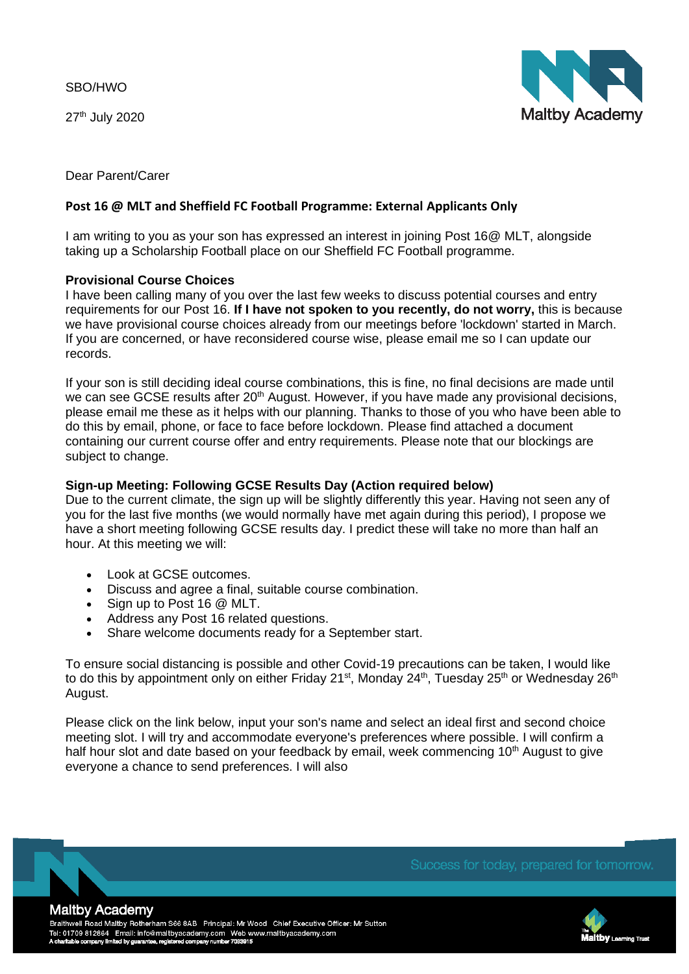SBO/HWO

27<sup>th</sup> July 2020



Dear Parent/Carer

## **Post 16 @ MLT and Sheffield FC Football Programme: External Applicants Only**

I am writing to you as your son has expressed an interest in joining Post 16@ MLT, alongside taking up a Scholarship Football place on our Sheffield FC Football programme.

## **Provisional Course Choices**

I have been calling many of you over the last few weeks to discuss potential courses and entry requirements for our Post 16. **If I have not spoken to you recently, do not worry,** this is because we have provisional course choices already from our meetings before 'lockdown' started in March. If you are concerned, or have reconsidered course wise, please email me so I can update our records.

If your son is still deciding ideal course combinations, this is fine, no final decisions are made until we can see GCSE results after 20<sup>th</sup> August. However, if you have made any provisional decisions, please email me these as it helps with our planning. Thanks to those of you who have been able to do this by email, phone, or face to face before lockdown. Please find attached a document containing our current course offer and entry requirements. Please note that our blockings are subject to change.

## **Sign-up Meeting: Following GCSE Results Day (Action required below)**

Due to the current climate, the sign up will be slightly differently this year. Having not seen any of you for the last five months (we would normally have met again during this period), I propose we have a short meeting following GCSE results day. I predict these will take no more than half an hour. At this meeting we will:

- Look at GCSE outcomes.
- Discuss and agree a final, suitable course combination.
- Sign up to Post 16 @ MLT.
- Address any Post 16 related questions.
- Share welcome documents ready for a September start.

To ensure social distancing is possible and other Covid-19 precautions can be taken, I would like to do this by appointment only on either Friday 21<sup>st</sup>, Monday 24<sup>th</sup>, Tuesday 25<sup>th</sup> or Wednesday 26<sup>th</sup> August.

Please click on the link below, input your son's name and select an ideal first and second choice meeting slot. I will try and accommodate everyone's preferences where possible. I will confirm a half hour slot and date based on your feedback by email, week commencing  $10<sup>th</sup>$  August to give everyone a chance to send preferences. I will also





## **Maltby Academy**

Braithwell Road Maltby Rotherham S66 8AB Principal: Mr Wood Chief Executive Officer: Mr Sutton<br>Tel: 01709 812864 Email: info@maltbyacademy.com Web www.maltbyacademy.com<br>A chartable company limited by guarantee, registered